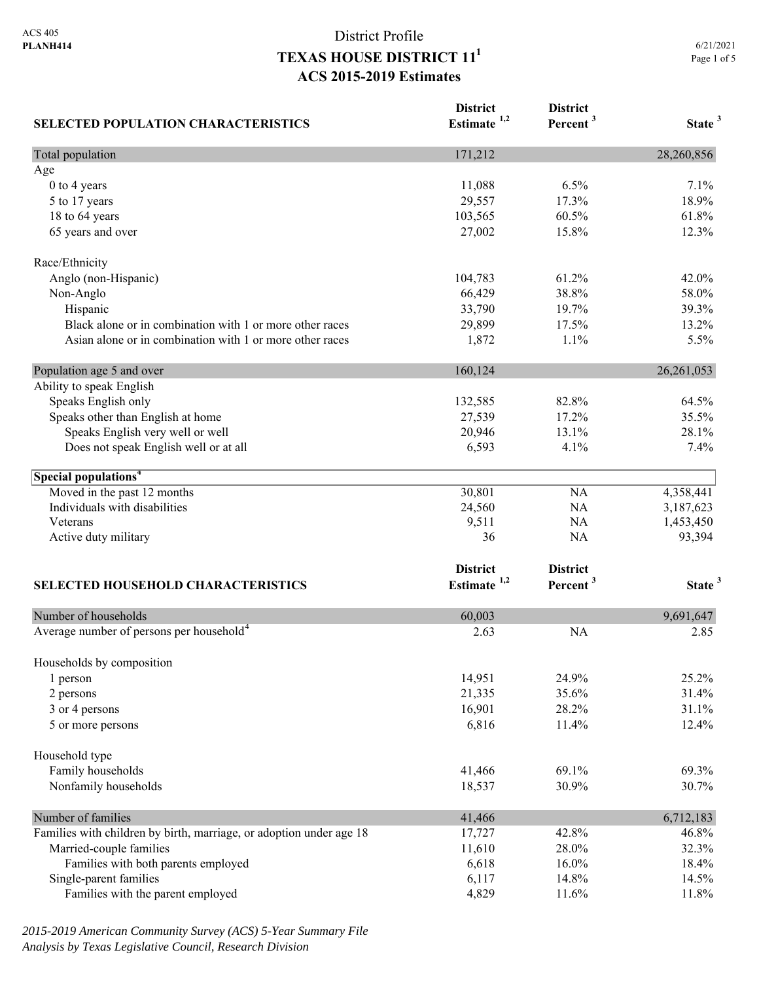| <b>SELECTED POPULATION CHARACTERISTICS</b>                          | <b>District</b><br>Estimate $1,2$ | <b>District</b><br>Percent <sup>3</sup> | State <sup>3</sup> |
|---------------------------------------------------------------------|-----------------------------------|-----------------------------------------|--------------------|
| Total population                                                    | 171,212                           |                                         | 28,260,856         |
| Age                                                                 |                                   |                                         |                    |
| 0 to 4 years                                                        | 11,088                            | 6.5%                                    | 7.1%               |
| 5 to 17 years                                                       | 29,557                            | 17.3%                                   | 18.9%              |
| 18 to 64 years                                                      | 103,565                           | 60.5%                                   | 61.8%              |
| 65 years and over                                                   | 27,002                            | 15.8%                                   | 12.3%              |
| Race/Ethnicity                                                      |                                   |                                         |                    |
| Anglo (non-Hispanic)                                                | 104,783                           | 61.2%                                   | 42.0%              |
| Non-Anglo                                                           | 66,429                            | 38.8%                                   | 58.0%              |
| Hispanic                                                            | 33,790                            | 19.7%                                   | 39.3%              |
| Black alone or in combination with 1 or more other races            | 29,899                            | 17.5%                                   | 13.2%              |
| Asian alone or in combination with 1 or more other races            | 1,872                             | 1.1%                                    | 5.5%               |
| Population age 5 and over                                           | 160,124                           |                                         | 26,261,053         |
| Ability to speak English                                            |                                   |                                         |                    |
| Speaks English only                                                 | 132,585                           | 82.8%                                   | 64.5%              |
| Speaks other than English at home                                   | 27,539                            | 17.2%                                   | 35.5%              |
| Speaks English very well or well                                    | 20,946                            | 13.1%                                   | 28.1%              |
| Does not speak English well or at all                               | 6,593                             | 4.1%                                    | 7.4%               |
| Special populations <sup>4</sup>                                    |                                   |                                         |                    |
| Moved in the past 12 months                                         | 30,801                            | NA                                      | 4,358,441          |
| Individuals with disabilities                                       | 24,560                            | NA                                      | 3,187,623          |
| Veterans                                                            | 9,511                             | NA                                      | 1,453,450          |
| Active duty military                                                | 36                                | <b>NA</b>                               | 93,394             |
|                                                                     | <b>District</b>                   | <b>District</b>                         |                    |
| <b>SELECTED HOUSEHOLD CHARACTERISTICS</b>                           | Estimate <sup>1,2</sup>           | Percent <sup>3</sup>                    | State <sup>3</sup> |
|                                                                     |                                   |                                         |                    |
| Number of households                                                | 60,003                            |                                         | 9,691,647          |
| Average number of persons per household <sup>4</sup>                | 2.63                              | <b>NA</b>                               | 2.85               |
| Households by composition                                           |                                   |                                         |                    |
| 1 person                                                            | 14,951                            | 24.9%                                   | 25.2%              |
| 2 persons                                                           | 21,335                            | 35.6%                                   | 31.4%              |
| 3 or 4 persons                                                      | 16,901                            | 28.2%                                   | 31.1%              |
| 5 or more persons                                                   | 6,816                             | 11.4%                                   | 12.4%              |
| Household type                                                      |                                   |                                         |                    |
| Family households                                                   | 41,466                            | 69.1%                                   | 69.3%              |
| Nonfamily households                                                | 18,537                            | 30.9%                                   | 30.7%              |
| Number of families                                                  | 41,466                            |                                         | 6,712,183          |
| Families with children by birth, marriage, or adoption under age 18 | 17,727                            | 42.8%                                   | 46.8%              |
| Married-couple families                                             | 11,610                            | 28.0%                                   | 32.3%              |
| Families with both parents employed                                 | 6,618                             | 16.0%                                   | 18.4%              |
| Single-parent families                                              | 6,117                             | 14.8%                                   | 14.5%              |
| Families with the parent employed                                   | 4,829                             | 11.6%                                   | 11.8%              |

*2015-2019 American Community Survey (ACS) 5-Year Summary File Analysis by Texas Legislative Council, Research Division*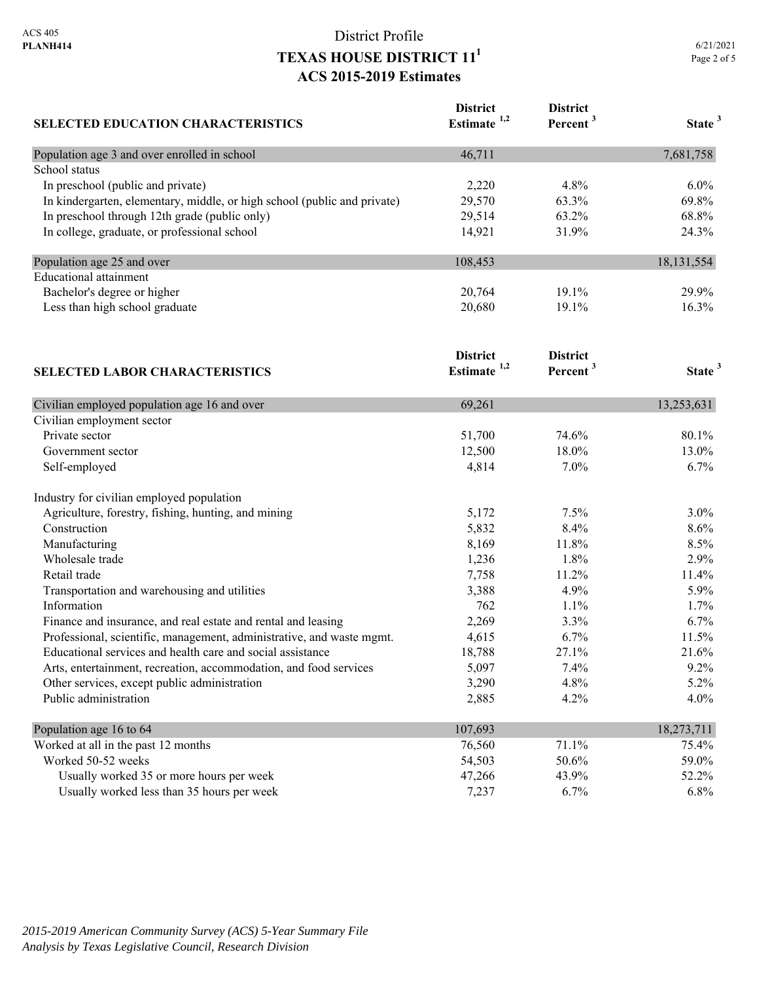| <b>SELECTED EDUCATION CHARACTERISTICS</b>                                | <b>District</b><br>Estimate <sup>1,2</sup> | <b>District</b><br>Percent <sup>3</sup> | State <sup>3</sup> |
|--------------------------------------------------------------------------|--------------------------------------------|-----------------------------------------|--------------------|
| Population age 3 and over enrolled in school                             | 46,711                                     |                                         | 7,681,758          |
| School status                                                            |                                            |                                         |                    |
| In preschool (public and private)                                        | 2,220                                      | 4.8%                                    | $6.0\%$            |
| In kindergarten, elementary, middle, or high school (public and private) | 29,570                                     | 63.3%                                   | 69.8%              |
| In preschool through 12th grade (public only)                            | 29,514                                     | 63.2%                                   | 68.8%              |
| In college, graduate, or professional school                             | 14,921                                     | 31.9%                                   | 24.3%              |
| Population age 25 and over                                               | 108,453                                    |                                         | 18, 131, 554       |
| <b>Educational attainment</b>                                            |                                            |                                         |                    |
| Bachelor's degree or higher                                              | 20,764                                     | 19.1%                                   | 29.9%              |
| Less than high school graduate                                           | 20,680                                     | 19.1%                                   | 16.3%              |
|                                                                          | <b>District</b>                            | <b>District</b>                         |                    |
| <b>SELECTED LABOR CHARACTERISTICS</b>                                    | Estimate $1,2$                             | Percent <sup>3</sup>                    | State <sup>3</sup> |
| Civilian employed population age 16 and over                             | 69,261                                     |                                         | 13,253,631         |
| Civilian employment sector                                               |                                            |                                         |                    |
| Private sector                                                           | 51,700                                     | 74.6%                                   | 80.1%              |
| Government sector                                                        | 12,500                                     | 18.0%                                   | 13.0%              |
| Self-employed                                                            | 4,814                                      | 7.0%                                    | 6.7%               |
| Industry for civilian employed population                                |                                            |                                         |                    |
| Agriculture, forestry, fishing, hunting, and mining                      | 5,172                                      | 7.5%                                    | 3.0%               |
| Construction                                                             | 5,832                                      | 8.4%                                    | 8.6%               |
| Manufacturing                                                            | 8,169                                      | 11.8%                                   | 8.5%               |
| Wholesale trade                                                          | 1,236                                      | 1.8%                                    | 2.9%               |
| Retail trade                                                             | 7,758                                      | 11.2%                                   | 11.4%              |
| Transportation and warehousing and utilities                             | 3,388                                      | 4.9%                                    | 5.9%               |
| Information                                                              | 762                                        | 1.1%                                    | 1.7%               |
| Finance and insurance, and real estate and rental and leasing            | 2,269                                      | 3.3%                                    | 6.7%               |
| Professional, scientific, management, administrative, and waste mgmt.    | 4,615                                      | 6.7%                                    | 11.5%              |
| Educational services and health care and social assistance               | 18,788                                     | 27.1%                                   | 21.6%              |
| Arts, entertainment, recreation, accommodation, and food services        | 5,097                                      | 7.4%                                    | 9.2%               |
| Other services, except public administration                             | 3,290                                      | 4.8%                                    | 5.2%               |
| Public administration                                                    | 2,885                                      | 4.2%                                    | 4.0%               |
| Population age 16 to 64                                                  | 107,693                                    |                                         | 18,273,711         |
| Worked at all in the past 12 months                                      | 76,560                                     | 71.1%                                   | 75.4%              |
| Worked 50-52 weeks                                                       | 54,503                                     | 50.6%                                   | 59.0%              |
| Usually worked 35 or more hours per week                                 | 47,266                                     | 43.9%                                   | 52.2%              |
| Usually worked less than 35 hours per week                               | 7,237                                      | 6.7%                                    | 6.8%               |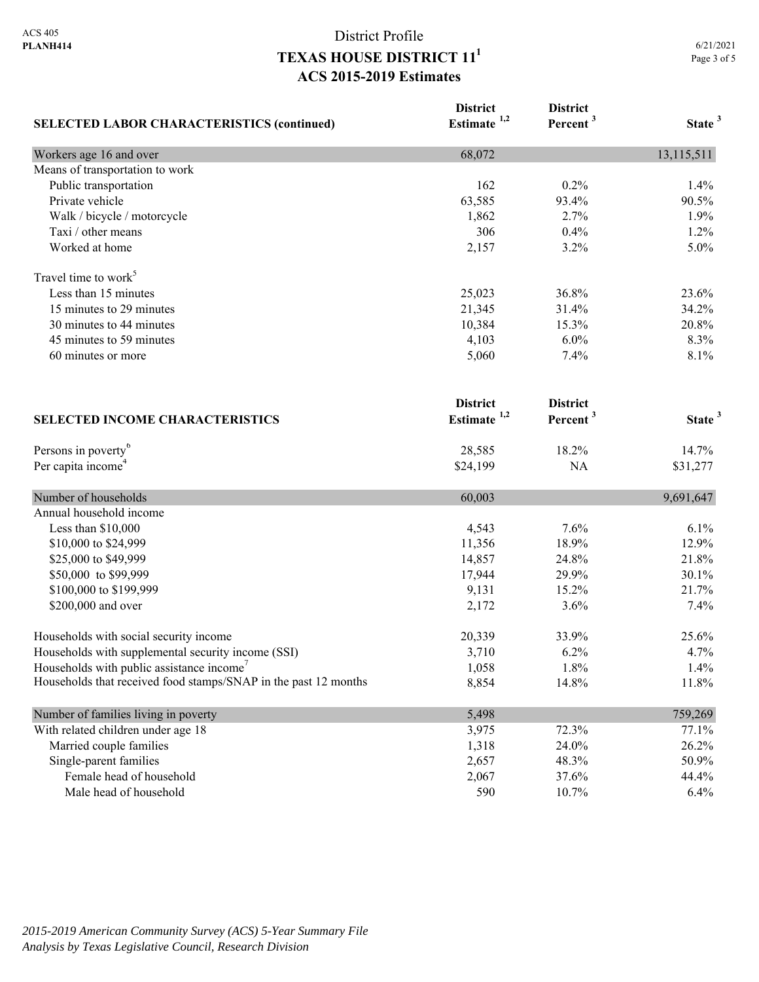| <b>SELECTED LABOR CHARACTERISTICS (continued)</b>               | <b>District</b><br>Estimate <sup>1,2</sup> | <b>District</b><br>Percent <sup>3</sup> | State <sup>3</sup> |
|-----------------------------------------------------------------|--------------------------------------------|-----------------------------------------|--------------------|
| Workers age 16 and over                                         | 68,072                                     |                                         | 13,115,511         |
| Means of transportation to work                                 |                                            |                                         |                    |
| Public transportation                                           | 162                                        | 0.2%                                    | 1.4%               |
| Private vehicle                                                 | 63,585                                     | 93.4%                                   | 90.5%              |
| Walk / bicycle / motorcycle                                     | 1,862                                      | 2.7%                                    | 1.9%               |
| Taxi / other means                                              | 306                                        | 0.4%                                    | 1.2%               |
| Worked at home                                                  | 2,157                                      | 3.2%                                    | 5.0%               |
| Travel time to work <sup>5</sup>                                |                                            |                                         |                    |
| Less than 15 minutes                                            | 25,023                                     | 36.8%                                   | 23.6%              |
| 15 minutes to 29 minutes                                        | 21,345                                     | 31.4%                                   | 34.2%              |
| 30 minutes to 44 minutes                                        | 10,384                                     | 15.3%                                   | 20.8%              |
| 45 minutes to 59 minutes                                        | 4,103                                      | 6.0%                                    | 8.3%               |
| 60 minutes or more<br><b>SELECTED INCOME CHARACTERISTICS</b>    | 5,060                                      | 7.4%                                    | 8.1%               |
|                                                                 | <b>District</b><br>Estimate <sup>1,2</sup> | <b>District</b><br>Percent <sup>3</sup> | State <sup>3</sup> |
|                                                                 |                                            |                                         |                    |
| Persons in poverty <sup>6</sup>                                 | 28,585                                     | 18.2%                                   | 14.7%              |
| Per capita income <sup>4</sup>                                  | \$24,199                                   | NA                                      | \$31,277           |
| Number of households                                            | 60,003                                     |                                         | 9,691,647          |
| Annual household income                                         |                                            |                                         |                    |
| Less than \$10,000                                              | 4,543                                      | 7.6%                                    | 6.1%               |
| \$10,000 to \$24,999                                            | 11,356                                     | 18.9%                                   | 12.9%              |
| \$25,000 to \$49,999                                            | 14,857                                     | 24.8%                                   | 21.8%              |
| \$50,000 to \$99,999                                            | 17,944                                     | 29.9%                                   | 30.1%              |
| \$100,000 to \$199,999                                          | 9,131                                      | 15.2%                                   | 21.7%              |
| \$200,000 and over                                              | 2,172                                      | 3.6%                                    | 7.4%               |
| Households with social security income                          | 20,339                                     | 33.9%                                   | 25.6%              |
| Households with supplemental security income (SSI)              | 3,710                                      | 6.2%                                    | 4.7%               |
| Households with public assistance income <sup>7</sup>           | 1,058                                      | 1.8%                                    | 1.4%               |
| Households that received food stamps/SNAP in the past 12 months | 8,854                                      | 14.8%                                   | 11.8%              |
| Number of families living in poverty                            | 5,498                                      |                                         | 759,269            |
| With related children under age 18                              | 3,975                                      | 72.3%                                   | 77.1%              |
| Married couple families                                         | 1,318                                      | 24.0%                                   | 26.2%              |
| Single-parent families                                          | 2,657                                      | 48.3%                                   | 50.9%              |
| Female head of household                                        | 2,067                                      | 37.6%                                   | 44.4%              |
| Male head of household                                          | 590                                        | 10.7%                                   | 6.4%               |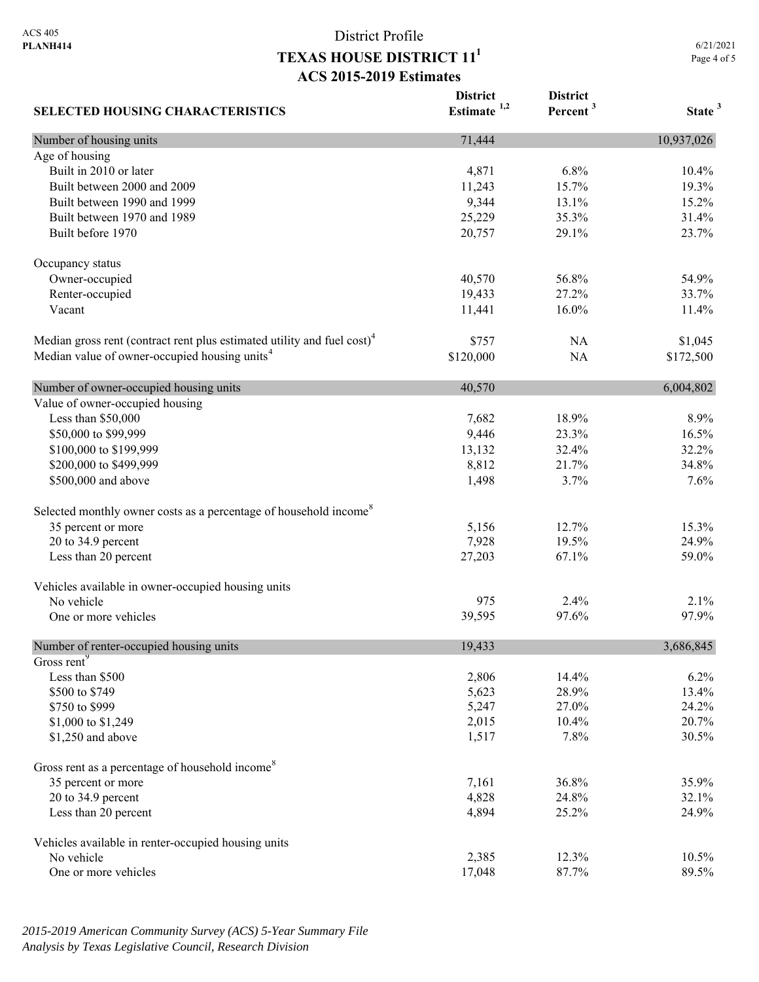6/21/2021 Page 4 of 5

| <b>SELECTED HOUSING CHARACTERISTICS</b>                                             | <b>District</b><br>Estimate $1,2$ | <b>District</b><br>Percent <sup>3</sup> | State <sup>3</sup> |
|-------------------------------------------------------------------------------------|-----------------------------------|-----------------------------------------|--------------------|
| Number of housing units                                                             | 71,444                            |                                         | 10,937,026         |
| Age of housing                                                                      |                                   |                                         |                    |
| Built in 2010 or later                                                              | 4,871                             | 6.8%                                    | 10.4%              |
| Built between 2000 and 2009                                                         | 11,243                            | 15.7%                                   | 19.3%              |
| Built between 1990 and 1999                                                         | 9,344                             | 13.1%                                   | 15.2%              |
| Built between 1970 and 1989                                                         | 25,229                            | 35.3%                                   | 31.4%              |
| Built before 1970                                                                   | 20,757                            | 29.1%                                   | 23.7%              |
| Occupancy status                                                                    |                                   |                                         |                    |
| Owner-occupied                                                                      | 40,570                            | 56.8%                                   | 54.9%              |
| Renter-occupied                                                                     | 19,433                            | 27.2%                                   | 33.7%              |
| Vacant                                                                              | 11,441                            | 16.0%                                   | 11.4%              |
| Median gross rent (contract rent plus estimated utility and fuel cost) <sup>4</sup> | \$757                             | NA                                      | \$1,045            |
| Median value of owner-occupied housing units <sup>4</sup>                           | \$120,000                         | <b>NA</b>                               | \$172,500          |
| Number of owner-occupied housing units                                              | 40,570                            |                                         | 6,004,802          |
| Value of owner-occupied housing                                                     |                                   |                                         |                    |
| Less than \$50,000                                                                  | 7,682                             | 18.9%                                   | 8.9%               |
| \$50,000 to \$99,999                                                                | 9,446                             | 23.3%                                   | 16.5%              |
| \$100,000 to \$199,999                                                              | 13,132                            | 32.4%                                   | 32.2%              |
| \$200,000 to \$499,999                                                              | 8,812                             | 21.7%                                   | 34.8%              |
| \$500,000 and above                                                                 | 1,498                             | 3.7%                                    | 7.6%               |
| Selected monthly owner costs as a percentage of household income <sup>8</sup>       |                                   |                                         |                    |
| 35 percent or more                                                                  | 5,156                             | 12.7%                                   | 15.3%              |
| 20 to 34.9 percent                                                                  | 7,928                             | 19.5%                                   | 24.9%              |
| Less than 20 percent                                                                | 27,203                            | 67.1%                                   | 59.0%              |
| Vehicles available in owner-occupied housing units                                  |                                   |                                         |                    |
| No vehicle                                                                          | 975                               | 2.4%                                    | 2.1%               |
| One or more vehicles                                                                | 39,595                            | 97.6%                                   | 97.9%              |
| Number of renter-occupied housing units                                             | 19,433                            |                                         | 3,686,845          |
| Gross rent <sup>9</sup>                                                             |                                   |                                         |                    |
| Less than \$500                                                                     | 2,806                             | 14.4%                                   | 6.2%               |
| \$500 to \$749                                                                      | 5,623                             | 28.9%                                   | 13.4%              |
| \$750 to \$999                                                                      | 5,247                             | 27.0%                                   | 24.2%              |
| \$1,000 to \$1,249                                                                  | 2,015                             | 10.4%                                   | 20.7%              |
| \$1,250 and above                                                                   | 1,517                             | 7.8%                                    | 30.5%              |
| Gross rent as a percentage of household income <sup>8</sup>                         |                                   |                                         |                    |
| 35 percent or more                                                                  | 7,161                             | 36.8%                                   | 35.9%              |
| 20 to 34.9 percent                                                                  | 4,828                             | 24.8%                                   | 32.1%              |
| Less than 20 percent                                                                | 4,894                             | 25.2%                                   | 24.9%              |
| Vehicles available in renter-occupied housing units                                 |                                   |                                         |                    |
| No vehicle                                                                          | 2,385                             | 12.3%                                   | 10.5%              |
| One or more vehicles                                                                | 17,048                            | 87.7%                                   | 89.5%              |